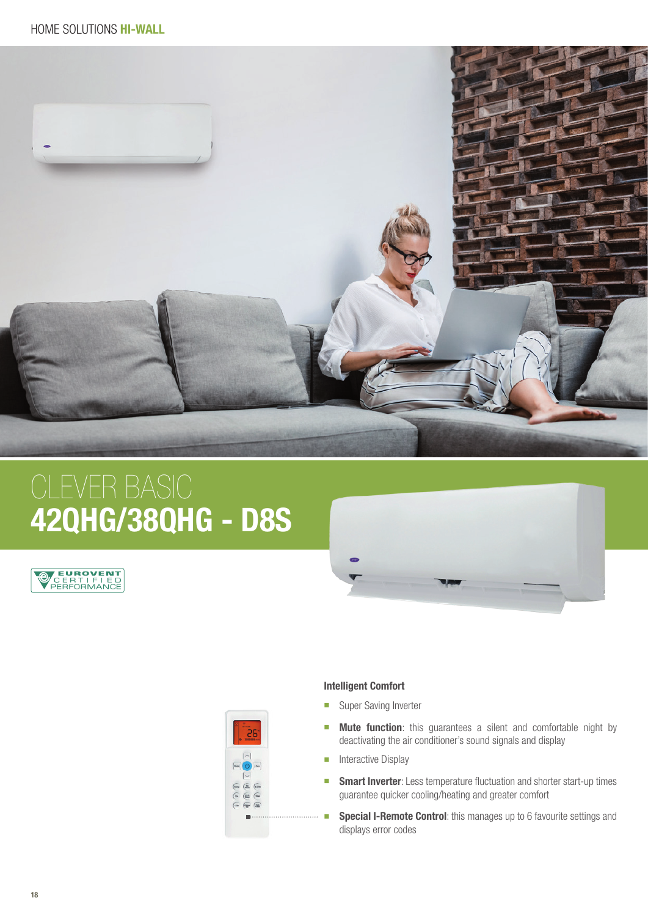

## 42QHG/38QHG - D8S







## Intelligent Comfort

- **No. 3** Super Saving Inverter
- **n** Mute function: this guarantees a silent and comfortable night by deactivating the air conditioner's sound signals and display
- **n** Interactive Display
- **n** Smart Inverter: Less temperature fluctuation and shorter start-up times guarantee quicker cooling/heating and greater comfort
- ■ Special I-Remote Control: this manages up to 6 favourite settings and displays error codes